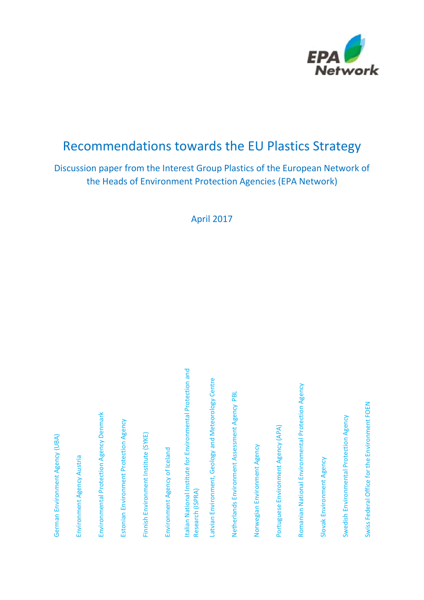

# Recommendations towards the EU Plastics Strategy

# Discussion paper from the Interest Group Plastics of the European Network of the Heads of Environment Protection Agencies (EPA Network)

April 2017

| German Environment Agency (UBA)                                                 |
|---------------------------------------------------------------------------------|
| Environment Agency Austria                                                      |
| Environmental Protection Agency Denmark                                         |
| Estonian Environment Protection Agency                                          |
| Finnish Environment Institute (SYKE)                                            |
| Environment Agency of Iceland                                                   |
| Italian National Institute for Environmental Protection and<br>Research (ISPRA) |
| Latvian Environment, Geology and Meteorology Centre                             |
| Netherlands Environment Assessment Agency PBL                                   |
| Norwegian Environment Agency                                                    |
| Portuguese Environment Agency (APA)                                             |
| Romanian National Environmental Protection Agency                               |
| Slovak Environment Agency                                                       |
| Swedish Environmental Protection Agency                                         |
| Swiss Federal Office for the Environment FOEN                                   |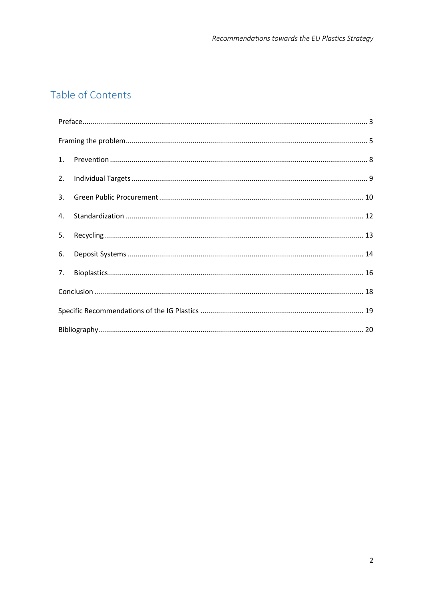# Table of Contents

| 1. |  |  |
|----|--|--|
| 2. |  |  |
| 3. |  |  |
| 4. |  |  |
| 5. |  |  |
| 6. |  |  |
| 7. |  |  |
|    |  |  |
|    |  |  |
|    |  |  |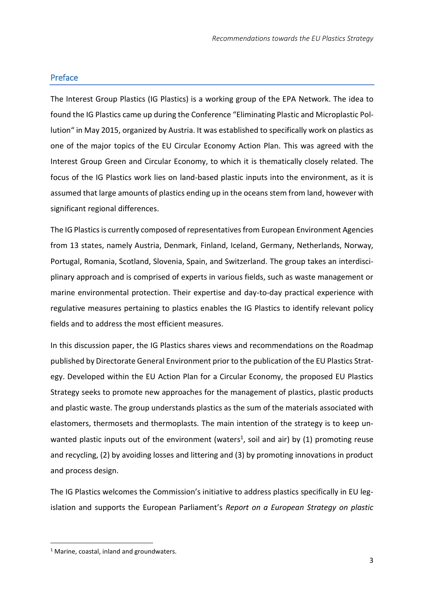### <span id="page-2-0"></span>Preface

The Interest Group Plastics (IG Plastics) is a working group of the EPA Network. The idea to found the IG Plastics came up during the Conference "Eliminating Plastic and Microplastic Pollution" in May 2015, organized by Austria. It was established to specifically work on plastics as one of the major topics of the EU Circular Economy Action Plan. This was agreed with the Interest Group Green and Circular Economy, to which it is thematically closely related. The focus of the IG Plastics work lies on land-based plastic inputs into the environment, as it is assumed that large amounts of plastics ending up in the oceans stem from land, however with significant regional differences.

The IG Plastics is currently composed of representatives from European Environment Agencies from 13 states, namely Austria, Denmark, Finland, Iceland, Germany, Netherlands, Norway, Portugal, Romania, Scotland, Slovenia, Spain, and Switzerland. The group takes an interdisciplinary approach and is comprised of experts in various fields, such as waste management or marine environmental protection. Their expertise and day-to-day practical experience with regulative measures pertaining to plastics enables the IG Plastics to identify relevant policy fields and to address the most efficient measures.

In this discussion paper, the IG Plastics shares views and recommendations on the Roadmap published by Directorate General Environment prior to the publication of the EU Plastics Strategy. Developed within the EU Action Plan for a Circular Economy, the proposed EU Plastics Strategy seeks to promote new approaches for the management of plastics, plastic products and plastic waste. The group understands plastics as the sum of the materials associated with elastomers, thermosets and thermoplasts. The main intention of the strategy is to keep unwanted plastic inputs out of the environment (waters<sup>1</sup>, soil and air) by (1) promoting reuse and recycling, (2) by avoiding losses and littering and (3) by promoting innovations in product and process design.

The IG Plastics welcomes the Commission's initiative to address plastics specifically in EU legislation and supports the European Parliament's *Report on a European Strategy on plastic* 

 $\overline{\phantom{a}}$ 

 $1$  Marine, coastal, inland and groundwaters.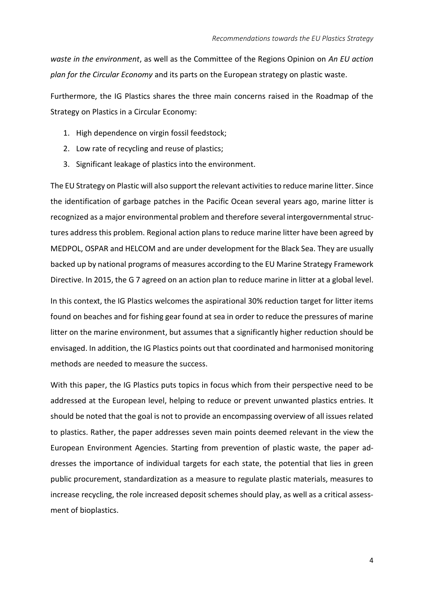*waste in the environment*, as well as the Committee of the Regions Opinion on *An EU action plan for the Circular Economy* and its parts on the European strategy on plastic waste.

Furthermore, the IG Plastics shares the three main concerns raised in the Roadmap of the Strategy on Plastics in a Circular Economy:

- 1. High dependence on virgin fossil feedstock;
- 2. Low rate of recycling and reuse of plastics;
- 3. Significant leakage of plastics into the environment.

The EU Strategy on Plastic will also support the relevant activitiesto reduce marine litter. Since the identification of garbage patches in the Pacific Ocean several years ago, marine litter is recognized as a major environmental problem and therefore several intergovernmental structures address this problem. Regional action plans to reduce marine litter have been agreed by MEDPOL, OSPAR and HELCOM and are under development for the Black Sea. They are usually backed up by national programs of measures according to the EU Marine Strategy Framework Directive. In 2015, the G 7 agreed on an action plan to reduce marine in litter at a global level.

In this context, the IG Plastics welcomes the aspirational 30% reduction target for litter items found on beaches and for fishing gear found at sea in order to reduce the pressures of marine litter on the marine environment, but assumes that a significantly higher reduction should be envisaged. In addition, the IG Plastics points out that coordinated and harmonised monitoring methods are needed to measure the success.

With this paper, the IG Plastics puts topics in focus which from their perspective need to be addressed at the European level, helping to reduce or prevent unwanted plastics entries. It should be noted that the goal is not to provide an encompassing overview of all issues related to plastics. Rather, the paper addresses seven main points deemed relevant in the view the European Environment Agencies. Starting from prevention of plastic waste, the paper addresses the importance of individual targets for each state, the potential that lies in green public procurement, standardization as a measure to regulate plastic materials, measures to increase recycling, the role increased deposit schemes should play, as well as a critical assessment of bioplastics.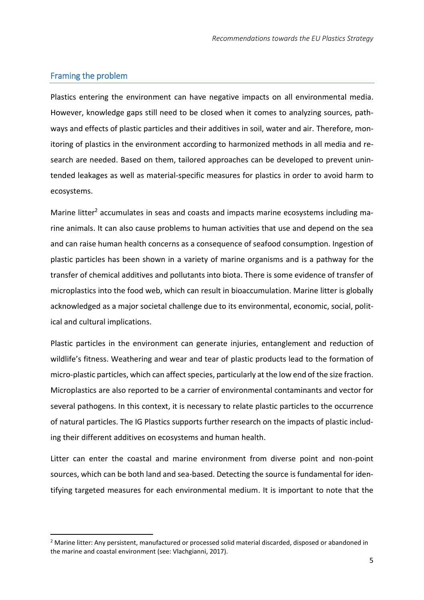### <span id="page-4-0"></span>Framing the problem

 $\overline{a}$ 

Plastics entering the environment can have negative impacts on all environmental media. However, knowledge gaps still need to be closed when it comes to analyzing sources, pathways and effects of plastic particles and their additives in soil, water and air. Therefore, monitoring of plastics in the environment according to harmonized methods in all media and research are needed. Based on them, tailored approaches can be developed to prevent unintended leakages as well as material-specific measures for plastics in order to avoid harm to ecosystems.

Marine litter<sup>2</sup> accumulates in seas and coasts and impacts marine ecosystems including marine animals. It can also cause problems to human activities that use and depend on the sea and can raise human health concerns as a consequence of seafood consumption. Ingestion of plastic particles has been shown in a variety of marine organisms and is a pathway for the transfer of chemical additives and pollutants into biota. There is some evidence of transfer of microplastics into the food web, which can result in bioaccumulation. Marine litter is globally acknowledged as a major societal challenge due to its environmental, economic, social, political and cultural implications.

Plastic particles in the environment can generate injuries, entanglement and reduction of wildlife's fitness. Weathering and wear and tear of plastic products lead to the formation of micro-plastic particles, which can affect species, particularly at the low end of the size fraction. Microplastics are also reported to be a carrier of environmental contaminants and vector for several pathogens. In this context, it is necessary to relate plastic particles to the occurrence of natural particles. The IG Plastics supports further research on the impacts of plastic including their different additives on ecosystems and human health.

Litter can enter the coastal and marine environment from diverse point and non-point sources, which can be both land and sea-based. Detecting the source is fundamental for identifying targeted measures for each environmental medium. It is important to note that the

<sup>&</sup>lt;sup>2</sup> Marine litter: Any persistent, manufactured or processed solid material discarded, disposed or abandoned in the marine and coastal environment (see: Vlachgianni, 2017).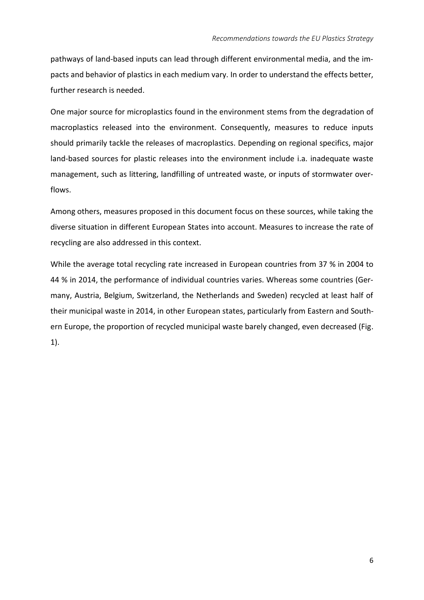pathways of land-based inputs can lead through different environmental media, and the impacts and behavior of plastics in each medium vary. In order to understand the effects better, further research is needed.

One major source for microplastics found in the environment stems from the degradation of macroplastics released into the environment. Consequently, measures to reduce inputs should primarily tackle the releases of macroplastics. Depending on regional specifics, major land-based sources for plastic releases into the environment include i.a. inadequate waste management, such as littering, landfilling of untreated waste, or inputs of stormwater overflows.

Among others, measures proposed in this document focus on these sources, while taking the diverse situation in different European States into account. Measures to increase the rate of recycling are also addressed in this context.

While the average total recycling rate increased in European countries from 37 % in 2004 to 44 % in 2014, the performance of individual countries varies. Whereas some countries (Germany, Austria, Belgium, Switzerland, the Netherlands and Sweden) recycled at least half of their municipal waste in 2014, in other European states, particularly from Eastern and Southern Europe, the proportion of recycled municipal waste barely changed, even decreased (Fig. 1).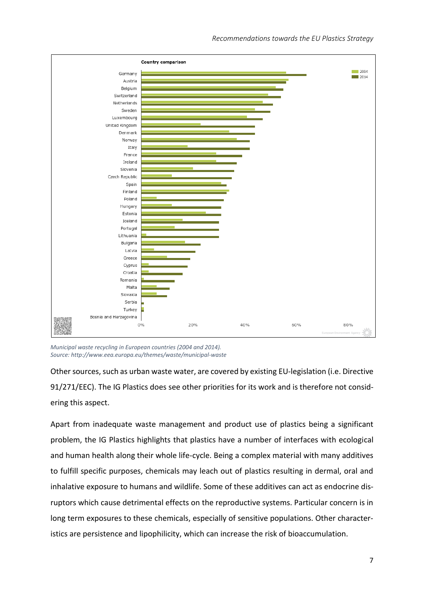

*Municipal waste recycling in European countries (2004 and 2014). Source:<http://www.eea.europa.eu/themes/waste/municipal-waste>*

Other sources, such as urban waste water, are covered by existing EU-legislation (i.e. Directive 91/271/EEC). The IG Plastics does see other priorities for its work and is therefore not considering this aspect.

Apart from inadequate waste management and product use of plastics being a significant problem, the IG Plastics highlights that plastics have a number of interfaces with ecological and human health along their whole life-cycle. Being a complex material with many additives to fulfill specific purposes, chemicals may leach out of plastics resulting in dermal, oral and inhalative exposure to humans and wildlife. Some of these additives can act as endocrine disruptors which cause detrimental effects on the reproductive systems. Particular concern is in long term exposures to these chemicals, especially of sensitive populations. Other characteristics are persistence and lipophilicity, which can increase the risk of bioaccumulation.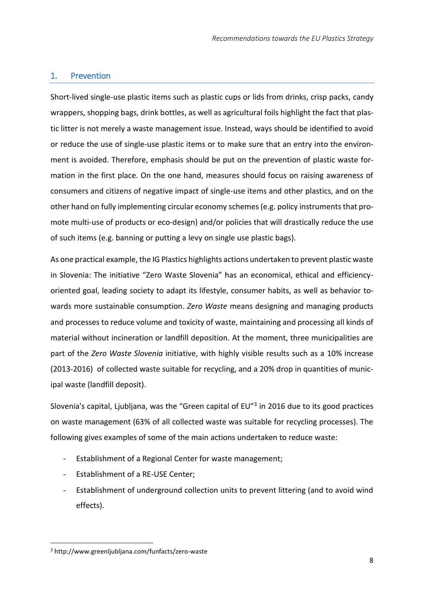# <span id="page-7-0"></span>1. Prevention

Short-lived single-use plastic items such as plastic cups or lids from drinks, crisp packs, candy wrappers, shopping bags, drink bottles, as well as agricultural foils highlight the fact that plastic litter is not merely a waste management issue. Instead, ways should be identified to avoid or reduce the use of single-use plastic items or to make sure that an entry into the environment is avoided. Therefore, emphasis should be put on the prevention of plastic waste formation in the first place. On the one hand, measures should focus on raising awareness of consumers and citizens of negative impact of single-use items and other plastics, and on the other hand on fully implementing circular economy schemes (e.g. policy instruments that promote multi-use of products or eco-design) and/or policies that will drastically reduce the use of such items (e.g. banning or putting a levy on single use plastic bags).

As one practical example, the IG Plastics highlights actions undertaken to prevent plastic waste in Slovenia: The initiative "Zero Waste Slovenia" has an economical, ethical and efficiencyoriented goal, leading society to adapt its lifestyle, consumer habits, as well as behavior towards more sustainable consumption. *Zero Waste* means designing and managing products and processes to reduce volume and toxicity of waste, maintaining and processing all kinds of material without incineration or landfill deposition. At the moment, three municipalities are part of the *Zero Waste Slovenia* initiative, with highly visible results such as a 10% increase (2013-2016) of collected waste suitable for recycling, and a 20% drop in quantities of municipal waste (landfill deposit).

Slovenia's capital, Ljubljana, was the "Green capital of EU"<sup>3</sup> in 2016 due to its good practices on waste management (63% of all collected waste was suitable for recycling processes). The following gives examples of some of the main actions undertaken to reduce waste:

- Establishment of a Regional Center for waste management;
- Establishment of a RE-USE Center;
- Establishment of underground collection units to prevent littering (and to avoid wind effects).

 $\overline{\phantom{a}}$ <sup>3</sup> http://www.greenljubljana.com/funfacts/zero-waste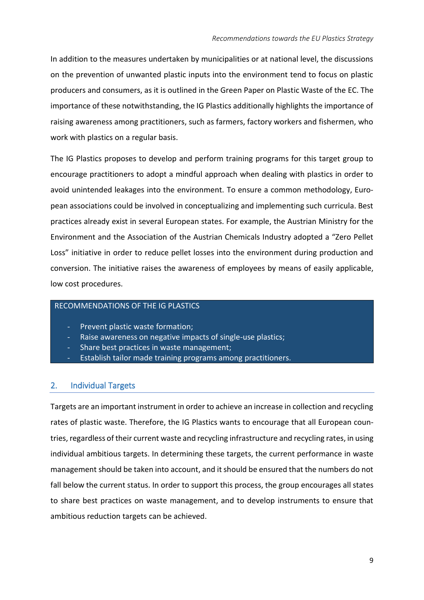In addition to the measures undertaken by municipalities or at national level, the discussions on the prevention of unwanted plastic inputs into the environment tend to focus on plastic producers and consumers, as it is outlined in the Green Paper on Plastic Waste of the EC. The importance of these notwithstanding, the IG Plastics additionally highlights the importance of raising awareness among practitioners, such as farmers, factory workers and fishermen, who work with plastics on a regular basis.

The IG Plastics proposes to develop and perform training programs for this target group to encourage practitioners to adopt a mindful approach when dealing with plastics in order to avoid unintended leakages into the environment. To ensure a common methodology, European associations could be involved in conceptualizing and implementing such curricula. Best practices already exist in several European states. For example, the Austrian Ministry for the Environment and the Association of the Austrian Chemicals Industry adopted a "Zero Pellet Loss" initiative in order to reduce pellet losses into the environment during production and conversion. The initiative raises the awareness of employees by means of easily applicable, low cost procedures.

## RECOMMENDATIONS OF THE IG PLASTICS

- Prevent plastic waste formation;
- Raise awareness on negative impacts of single-use plastics;
- Share best practices in waste management;
- Establish tailor made training programs among practitioners.

# <span id="page-8-0"></span>2. Individual Targets

Targets are an important instrument in order to achieve an increase in collection and recycling rates of plastic waste. Therefore, the IG Plastics wants to encourage that all European countries, regardless of their current waste and recycling infrastructure and recycling rates, in using individual ambitious targets. In determining these targets, the current performance in waste management should be taken into account, and it should be ensured that the numbers do not fall below the current status. In order to support this process, the group encourages all states to share best practices on waste management, and to develop instruments to ensure that ambitious reduction targets can be achieved.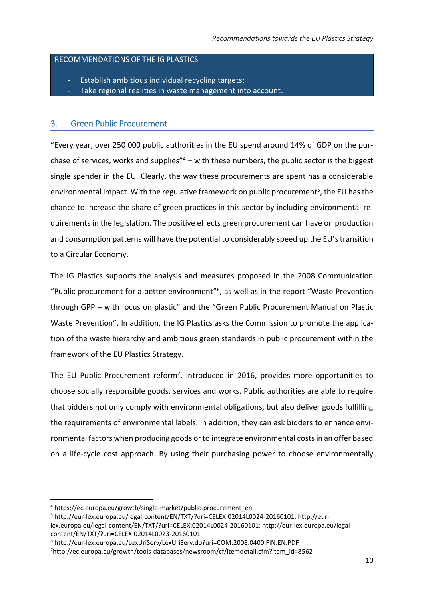### RECOMMENDATIONS OF THE IG PLASTICS

- Establish ambitious individual recycling targets;
- Take regional realities in waste management into account.

## <span id="page-9-0"></span>3. Green Public Procurement

"Every year, over 250 000 public authorities in the EU spend around 14% of GDP on the purchase of services, works and supplies<sup>"4</sup> – with these numbers, the public sector is the biggest single spender in the EU. Clearly, the way these procurements are spent has a considerable environmental impact. With the regulative framework on public procurement<sup>5</sup>, the EU has the chance to increase the share of green practices in this sector by including environmental requirements in the legislation. The positive effects green procurement can have on production and consumption patterns will have the potential to considerably speed up the EU's transition to a Circular Economy.

The IG Plastics supports the analysis and measures proposed in the 2008 Communication "Public procurement for a better environment"<sup>6</sup>, as well as in the report "Waste Prevention through GPP – with focus on plastic" and the "Green Public Procurement Manual on Plastic Waste Prevention". In addition, the IG Plastics asks the Commission to promote the application of the waste hierarchy and ambitious green standards in public procurement within the framework of the EU Plastics Strategy.

The EU Public Procurement reform<sup>7</sup>, introduced in 2016, provides more opportunities to choose socially responsible goods, services and works. Public authorities are able to require that bidders not only comply with environmental obligations, but also deliver goods fulfilling the requirements of environmental labels. In addition, they can ask bidders to enhance environmental factors when producing goods or to integrate environmental costs in an offer based on a life-cycle cost approach. By using their purchasing power to choose environmentally

 $\overline{\phantom{a}}$ 

<sup>4</sup> https://ec.europa.eu/growth/single-market/public-procurement\_en

<sup>5</sup> http://eur-lex.europa.eu/legal-content/EN/TXT/?uri=CELEX:02014L0024-20160101; http://eur-

lex.europa.eu/legal-content/EN/TXT/?uri=CELEX:02014L0024-20160101; http://eur-lex.europa.eu/legalcontent/EN/TXT/?uri=CELEX:02014L0023-20160101

<sup>6</sup> http://eur-lex.europa.eu/LexUriServ/LexUriServ.do?uri=COM:2008:0400:FIN:EN:PDF

<sup>7</sup>http://ec.europa.eu/growth/tools-databases/newsroom/cf/itemdetail.cfm?item\_id=8562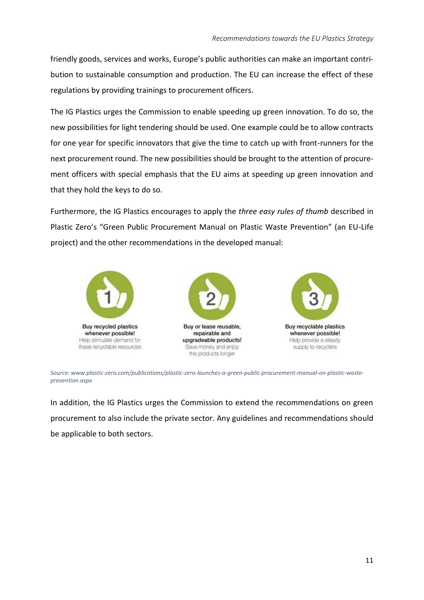friendly goods, services and works, Europe's public authorities can make an important contribution to sustainable consumption and production. The EU can increase the effect of these regulations by providing trainings to procurement officers.

The IG Plastics urges the Commission to enable speeding up green innovation. To do so, the new possibilities for light tendering should be used. One example could be to allow contracts for one year for specific innovators that give the time to catch up with front-runners for the next procurement round. The new possibilities should be brought to the attention of procurement officers with special emphasis that the EU aims at speeding up green innovation and that they hold the keys to do so.

Furthermore, the IG Plastics encourages to apply the *three easy rules of thumb* described in Plastic Zero's "Green Public Procurement Manual on Plastic Waste Prevention" (an EU-Life project) and the other recommendations in the developed manual:



*Source: www.plastic-zero.com/publications/plastic-zero-launches-a-green-public-procurement-manual-on-plastic-wasteprevention.aspx*

In addition, the IG Plastics urges the Commission to extend the recommendations on green procurement to also include the private sector. Any guidelines and recommendations should be applicable to both sectors.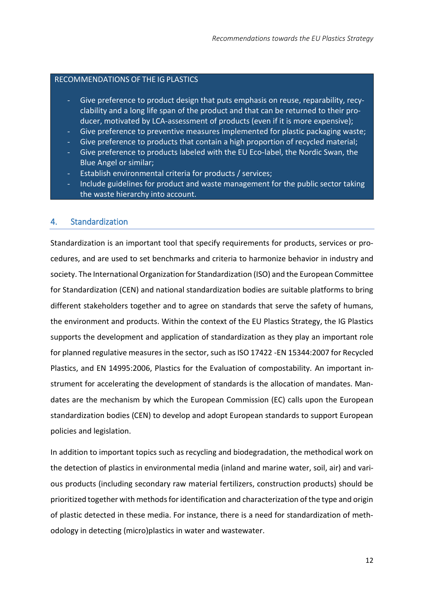#### RECOMMENDATIONS OF THE IG PLASTICS

- Give preference to product design that puts emphasis on reuse, reparability, recyclability and a long life span of the product and that can be returned to their producer, motivated by LCA-assessment of products (even if it is more expensive);
- Give preference to preventive measures implemented for plastic packaging waste;
- Give preference to products that contain a high proportion of recycled material;
- Give preference to products labeled with the EU Eco-label, the Nordic Swan, the Blue Angel or similar;
- Establish environmental criteria for products / services;
- Include guidelines for product and waste management for the public sector taking the waste hierarchy into account.

### <span id="page-11-0"></span>4. Standardization

Standardization is an important tool that specify requirements for products, services or procedures, and are used to set benchmarks and criteria to harmonize behavior in industry and society. The International Organization for Standardization (ISO) and the European Committee for Standardization (CEN) and national standardization bodies are suitable platforms to bring different stakeholders together and to agree on standards that serve the safety of humans, the environment and products. Within the context of the EU Plastics Strategy, the IG Plastics supports the development and application of standardization as they play an important role for planned regulative measures in the sector, such as ISO 17422 -EN 15344:2007 for Recycled Plastics, and EN 14995:2006, Plastics for the Evaluation of compostability. An important instrument for accelerating the development of standards is the allocation of mandates. Mandates are the mechanism by which the European Commission (EC) calls upon the European standardization bodies (CEN) to develop and adopt European standards to support European policies and legislation.

In addition to important topics such as recycling and biodegradation, the methodical work on the detection of plastics in environmental media (inland and marine water, soil, air) and various products (including secondary raw material fertilizers, construction products) should be prioritized together with methods for identification and characterization of the type and origin of plastic detected in these media. For instance, there is a need for standardization of methodology in detecting (micro)plastics in water and wastewater.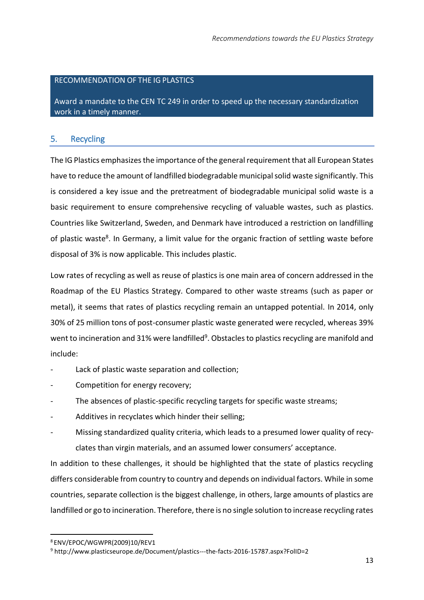#### RECOMMENDATION OF THE IG PLASTICS

Award a mandate to the CEN TC 249 in order to speed up the necessary standardization work in a timely manner.

### <span id="page-12-0"></span>5. Recycling

The IG Plastics emphasizes the importance of the general requirement that all European States have to reduce the amount of landfilled biodegradable municipal solid waste significantly. This is considered a key issue and the pretreatment of biodegradable municipal solid waste is a basic requirement to ensure comprehensive recycling of valuable wastes, such as plastics. Countries like Switzerland, Sweden, and Denmark have introduced a restriction on landfilling of plastic waste<sup>8</sup>. In Germany, a limit value for the organic fraction of settling waste before disposal of 3% is now applicable. This includes plastic.

Low rates of recycling as well as reuse of plastics is one main area of concern addressed in the Roadmap of the EU Plastics Strategy. Compared to other waste streams (such as paper or metal), it seems that rates of plastics recycling remain an untapped potential. In 2014, only 30% of 25 million tons of post-consumer plastic waste generated were recycled, whereas 39% went to incineration and 31% were landfilled<sup>9</sup>. Obstacles to plastics recycling are manifold and include:

- Lack of plastic waste separation and collection;
- Competition for energy recovery;
- The absences of plastic-specific recycling targets for specific waste streams;
- Additives in recyclates which hinder their selling;
- Missing standardized quality criteria, which leads to a presumed lower quality of recyclates than virgin materials, and an assumed lower consumers' acceptance.

In addition to these challenges, it should be highlighted that the state of plastics recycling differs considerable from country to country and depends on individual factors. While in some countries, separate collection is the biggest challenge, in others, large amounts of plastics are landfilled or go to incineration. Therefore, there is no single solution to increase recycling rates

 $\overline{a}$ 

<sup>8</sup> ENV/EPOC/WGWPR(2009)10/REV1

<sup>9</sup> http://www.plasticseurope.de/Document/plastics---the-facts-2016-15787.aspx?FolID=2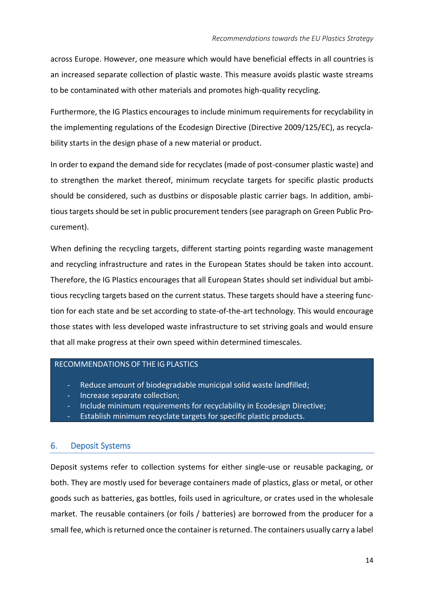across Europe. However, one measure which would have beneficial effects in all countries is an increased separate collection of plastic waste. This measure avoids plastic waste streams to be contaminated with other materials and promotes high-quality recycling.

Furthermore, the IG Plastics encourages to include minimum requirements for recyclability in the implementing regulations of the Ecodesign Directive (Directive 2009/125/EC), as recyclability starts in the design phase of a new material or product.

In order to expand the demand side for recyclates (made of post-consumer plastic waste) and to strengthen the market thereof, minimum recyclate targets for specific plastic products should be considered, such as dustbins or disposable plastic carrier bags. In addition, ambitious targets should be set in public procurement tenders (see paragraph on Green Public Procurement).

When defining the recycling targets, different starting points regarding waste management and recycling infrastructure and rates in the European States should be taken into account. Therefore, the IG Plastics encourages that all European States should set individual but ambitious recycling targets based on the current status. These targets should have a steering function for each state and be set according to state-of-the-art technology. This would encourage those states with less developed waste infrastructure to set striving goals and would ensure that all make progress at their own speed within determined timescales.

#### RECOMMENDATIONS OF THE IG PLASTICS

- Reduce amount of biodegradable municipal solid waste landfilled;
- Increase separate collection:
- Include minimum requirements for recyclability in Ecodesign Directive;
- Establish minimum recyclate targets for specific plastic products.

### <span id="page-13-0"></span>6. Deposit Systems

Deposit systems refer to collection systems for either single-use or reusable packaging, or both. They are mostly used for beverage containers made of plastics, glass or metal, or other goods such as batteries, gas bottles, foils used in agriculture, or crates used in the wholesale market. The reusable containers (or foils / batteries) are borrowed from the producer for a small fee, which is returned once the container is returned. The containers usually carry a label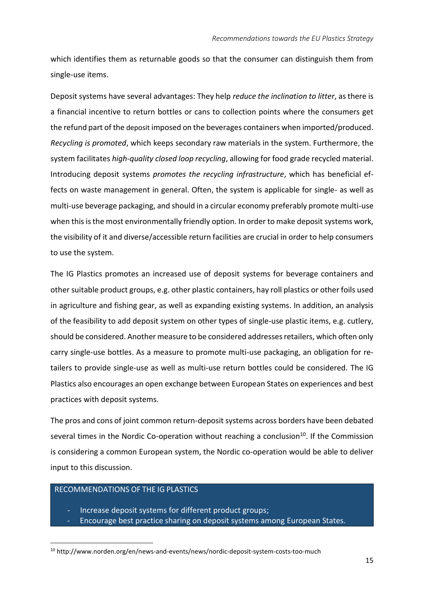which identifies them as returnable goods so that the consumer can distinguish them from single-use items.

Deposit systems have several advantages: They help *reduce the inclination to litter*, as there is a financial incentive to return bottles or cans to collection points where the consumers get the refund part of the deposit imposed on the beverages containers when imported/produced. *Recycling is promoted*, which keeps secondary raw materials in the system. Furthermore, the system facilitates *high-quality closed loop recycling*, allowing for food grade recycled material. Introducing deposit systems *promotes the recycling infrastructure*, which has beneficial effects on waste management in general. Often, the system is applicable for single- as well as multi-use beverage packaging, and should in a circular economy preferably promote multi-use when this is the most environmentally friendly option. In order to make deposit systems work, the visibility of it and diverse/accessible return facilities are crucial in order to help consumers to use the system.

The IG Plastics promotes an increased use of deposit systems for beverage containers and other suitable product groups, e.g. other plastic containers, hay roll plastics or other foils used in agriculture and fishing gear, as well as expanding existing systems. In addition, an analysis of the feasibility to add deposit system on other types of single-use plastic items, e.g. cutlery, should be considered. Another measure to be considered addresses retailers, which often only carry single-use bottles. As a measure to promote multi-use packaging, an obligation for retailers to provide single-use as well as multi-use return bottles could be considered. The IG Plastics also encourages an open exchange between European States on experiences and best practices with deposit systems.

The pros and cons of joint common return-deposit systems across borders have been debated several times in the Nordic Co-operation without reaching a conclusion<sup>10</sup>. If the Commission is considering a common European system, the Nordic co-operation would be able to deliver input to this discussion.

# RECOMMENDATIONS OF THE IG PLASTICS

 $\overline{\phantom{a}}$ 

- Increase deposit systems for different product groups;
- Encourage best practice sharing on deposit systems among European States.

<sup>10</sup> http://www.norden.org/en/news-and-events/news/nordic-deposit-system-costs-too-much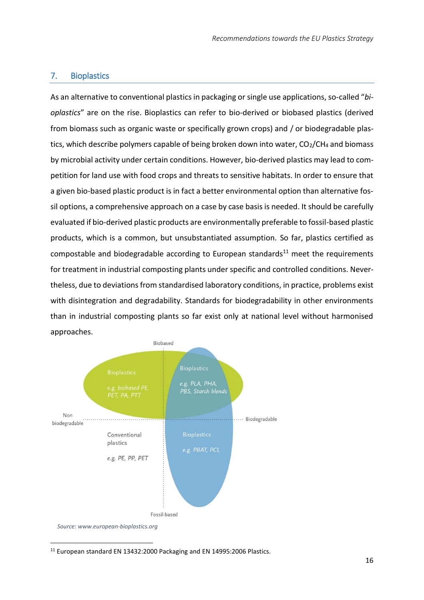## <span id="page-15-0"></span>7. Bioplastics

As an alternative to conventional plastics in packaging or single use applications, so-called "*bioplastics*" are on the rise. Bioplastics can refer to bio-derived or biobased plastics (derived from biomass such as organic waste or specifically grown crops) and / or biodegradable plastics, which describe polymers capable of being broken down into water,  $CO<sub>2</sub>/CH<sub>4</sub>$  and biomass by microbial activity under certain conditions. However, bio-derived plastics may lead to competition for land use with food crops and threats to sensitive habitats. In order to ensure that a given bio-based plastic product is in fact a better environmental option than alternative fossil options, a comprehensive approach on a case by case basis is needed. It should be carefully evaluated if bio-derived plastic products are environmentally preferable to fossil-based plastic products, which is a common, but unsubstantiated assumption. So far, plastics certified as compostable and biodegradable according to European standards<sup>11</sup> meet the requirements for treatment in industrial composting plants under specific and controlled conditions. Nevertheless, due to deviations from standardised laboratory conditions, in practice, problems exist with disintegration and degradability. Standards for biodegradability in other environments than in industrial composting plants so far exist only at national level without harmonised approaches.



 $\overline{\phantom{a}}$ <sup>11</sup> European standard EN 13432:2000 Packaging and EN 14995:2006 Plastics.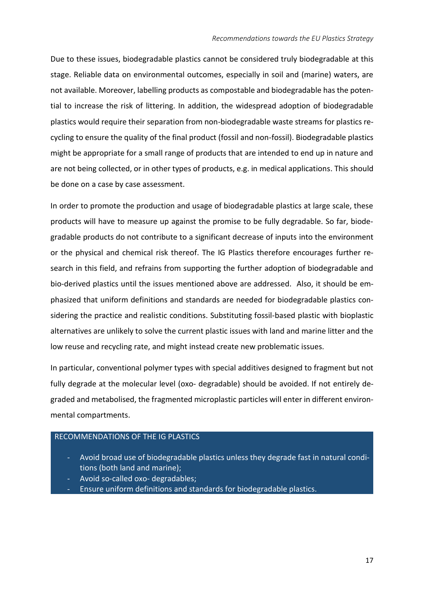Due to these issues, biodegradable plastics cannot be considered truly biodegradable at this stage. Reliable data on environmental outcomes, especially in soil and (marine) waters, are not available. Moreover, labelling products as compostable and biodegradable has the potential to increase the risk of littering. In addition, the widespread adoption of biodegradable plastics would require their separation from non-biodegradable waste streams for plastics recycling to ensure the quality of the final product (fossil and non-fossil). Biodegradable plastics might be appropriate for a small range of products that are intended to end up in nature and are not being collected, or in other types of products, e.g. in medical applications. This should be done on a case by case assessment.

In order to promote the production and usage of biodegradable plastics at large scale, these products will have to measure up against the promise to be fully degradable. So far, biodegradable products do not contribute to a significant decrease of inputs into the environment or the physical and chemical risk thereof. The IG Plastics therefore encourages further research in this field, and refrains from supporting the further adoption of biodegradable and bio-derived plastics until the issues mentioned above are addressed. Also, it should be emphasized that uniform definitions and standards are needed for biodegradable plastics considering the practice and realistic conditions. Substituting fossil-based plastic with bioplastic alternatives are unlikely to solve the current plastic issues with land and marine litter and the low reuse and recycling rate, and might instead create new problematic issues.

In particular, conventional polymer types with special additives designed to fragment but not fully degrade at the molecular level (oxo- degradable) should be avoided. If not entirely degraded and metabolised, the fragmented microplastic particles will enter in different environmental compartments.

#### RECOMMENDATIONS OF THE IG PLASTICS

- Avoid broad use of biodegradable plastics unless they degrade fast in natural conditions (both land and marine);
- Avoid so-called oxo- degradables;
- Ensure uniform definitions and standards for biodegradable plastics.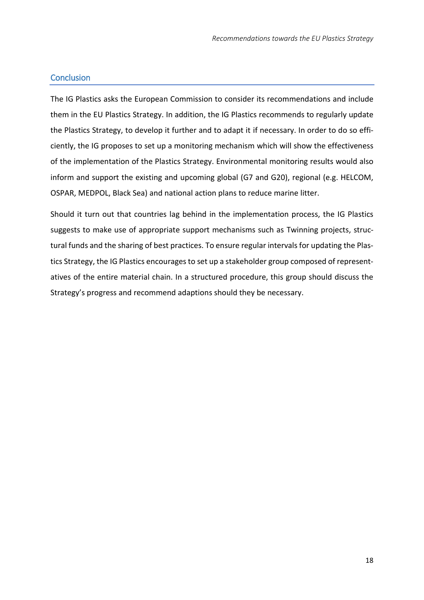# <span id="page-17-0"></span>**Conclusion**

The IG Plastics asks the European Commission to consider its recommendations and include them in the EU Plastics Strategy. In addition, the IG Plastics recommends to regularly update the Plastics Strategy, to develop it further and to adapt it if necessary. In order to do so efficiently, the IG proposes to set up a monitoring mechanism which will show the effectiveness of the implementation of the Plastics Strategy. Environmental monitoring results would also inform and support the existing and upcoming global (G7 and G20), regional (e.g. HELCOM, OSPAR, MEDPOL, Black Sea) and national action plans to reduce marine litter.

Should it turn out that countries lag behind in the implementation process, the IG Plastics suggests to make use of appropriate support mechanisms such as Twinning projects, structural funds and the sharing of best practices. To ensure regular intervals for updating the Plastics Strategy, the IG Plastics encourages to set up a stakeholder group composed of representatives of the entire material chain. In a structured procedure, this group should discuss the Strategy's progress and recommend adaptions should they be necessary.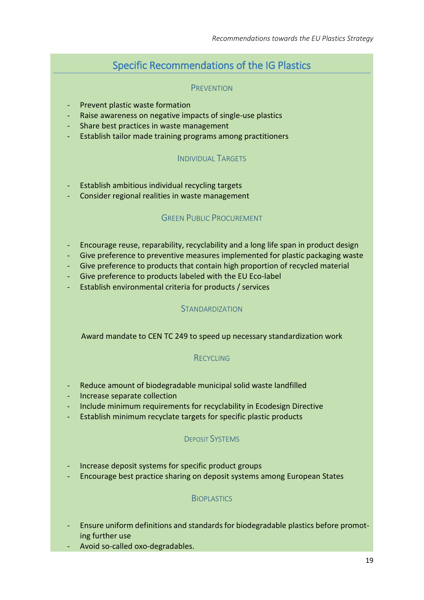# Specific Recommendations of the IG Plastics

#### PREVENTION

- <span id="page-18-0"></span>- Prevent plastic waste formation
- Raise awareness on negative impacts of single-use plastics
- Share best practices in waste management
- Establish tailor made training programs among practitioners

# INDIVIDUAL TARGETS

- Establish ambitious individual recycling targets
- Consider regional realities in waste management

# GREEN PUBLIC PROCUREMENT

- Encourage reuse, reparability, recyclability and a long life span in product design
- Give preference to preventive measures implemented for plastic packaging waste
- Give preference to products that contain high proportion of recycled material
- Give preference to products labeled with the EU Eco-label
- Establish environmental criteria for products / services

# **STANDARDIZATION**

### Award mandate to CEN TC 249 to speed up necessary standardization work

# RECYCLING

- Reduce amount of biodegradable municipal solid waste landfilled
- Increase separate collection
- Include minimum requirements for recyclability in Ecodesign Directive
- Establish minimum recyclate targets for specific plastic products

### DEPOSIT SYSTEMS

- Increase deposit systems for specific product groups
- Encourage best practice sharing on deposit systems among European States

# **BIOPLASTICS**

- Ensure uniform definitions and standards for biodegradable plastics before promoting further use
- Avoid so-called oxo-degradables.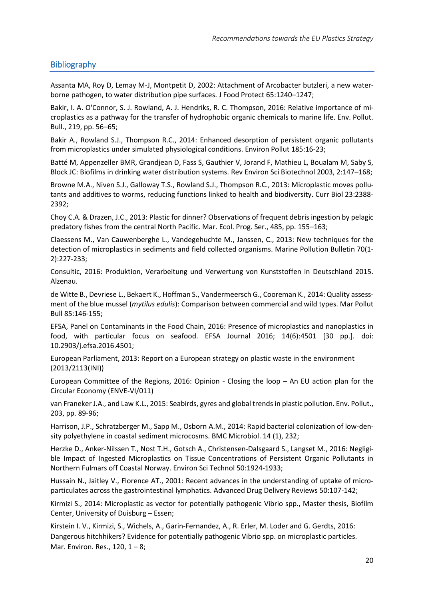# <span id="page-19-0"></span>Bibliography

Assanta MA, Roy D, Lemay M-J, Montpetit D, 2002: Attachment of Arcobacter butzleri, a new waterborne pathogen, to water distribution pipe surfaces. J Food Protect 65:1240–1247;

[Bakir, I. A. O'Connor, S. J. Rowland, A. J. Hendriks, R. C. Thompson,](http://www.sciencedirect.com/science/article/pii/S0269749116313112) 2016: Relative importance of microplastics as a pathway for the transfer of hydrophobic organic chemicals to marine life. Env. Pollut. Bull., 219, pp. 56–65;

Bakir A., Rowland S.J., Thompson R.C., 2014: Enhanced desorption of persistent organic pollutants from microplastics under simulated physiological conditions. Environ Pollut 185:16-23;

Batté M, Appenzeller BMR, Grandjean D, Fass S, Gauthier V, Jorand F, Mathieu L, Boualam M, Saby S, Block JC: Biofilms in drinking water distribution systems. Rev Environ Sci Biotechnol 2003, 2:147–168;

Browne M.A., Niven S.J., Galloway T.S., Rowland S.J., Thompson R.C., 2013: Microplastic moves pollutants and additives to worms, reducing functions linked to health and biodiversity. Curr Biol 23:2388- 2392;

Choy C.A. & Drazen, J.C., 2013: Plastic for dinner? Observations of frequent debris ingestion by pelagic predatory fishes from the central North Pacific. Mar. Ecol. Prog. Ser., 485, pp. 155–163;

Claessens M., Van Cauwenberghe L., Vandegehuchte M., Janssen, C., 2013: New techniques for the detection of microplastics in sediments and field collected organisms. Marine Pollution Bulletin 70(1- 2):227-233;

Consultic, 2016: Produktion, Verarbeitung und Verwertung von Kunststoffen in Deutschland 2015. Alzenau.

de Witte B., Devriese L., Bekaert K., Hoffman S., Vandermeersch G., Cooreman K., 2014: Quality assessment of the blue mussel (*mytilus edulis*): Comparison between commercial and wild types. Mar Pollut Bull 85:146-155;

EFSA, Panel on Contaminants in the Food Chain, 2016: Presence of microplastics and nanoplastics in food, with particular focus on seafood. EFSA Journal 2016; 14(6):4501 [30 pp.]. doi: 10.2903/j.efsa.2016.4501;

European Parliament, 2013: Report on a European strategy on plastic waste in the environment (2013/2113(INI))

European Committee of the Regions, 2016: Opinion - Closing the loop – An EU action plan for the Circular Economy (ENVE-VI/011)

van Franeker J.A., and Law K.L., 2015: Seabirds, gyres and global trends in plastic pollution. Env. Pollut., 203, pp. 89-96;

Harrison, J.P., Schratzberger M., Sapp M., Osborn A.M., 2014: Rapid bacterial colonization of low-density polyethylene in coastal sediment microcosms. BMC Microbiol. 14 (1), 232;

Herzke D., Anker-Nilssen T., Nost T.H., Gotsch A., Christensen-Dalsgaard S., Langset M., 2016: Negligible Impact of Ingested Microplastics on Tissue Concentrations of Persistent Organic Pollutants in Northern Fulmars off Coastal Norway. Environ Sci Technol 50:1924-1933;

Hussain N., Jaitley V., Florence AT., 2001: Recent advances in the understanding of uptake of microparticulates across the gastrointestinal lymphatics. Advanced Drug Delivery Reviews 50:107-142;

Kirmizi S., 2014: Microplastic as vector for potentially pathogenic Vibrio spp., Master thesis, Biofilm Center, University of Duisburg – Essen;

Kirstein I. V., Kirmizi, S., Wichels, A., Garin-Fernandez, A., R. Erler, M. Loder and G. Gerdts, 2016: Dangerous hitchhikers? Evidence for potentially pathogenic Vibrio spp. on microplastic particles. Mar. Environ. Res., 120, 1 – 8;